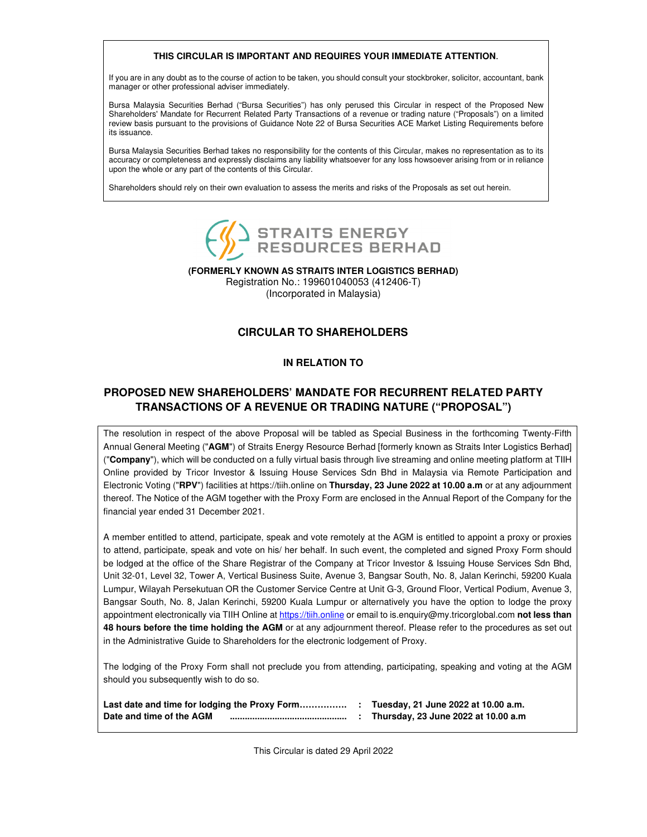### **THIS CIRCULAR IS IMPORTANT AND REQUIRES YOUR IMMEDIATE ATTENTION**.

If you are in any doubt as to the course of action to be taken, you should consult your stockbroker, solicitor, accountant, bank manager or other professional adviser immediately.

Bursa Malaysia Securities Berhad ("Bursa Securities") has only perused this Circular in respect of the Proposed New Shareholders' Mandate for Recurrent Related Party Transactions of a revenue or trading nature ("Proposals") on a limited review basis pursuant to the provisions of Guidance Note 22 of Bursa Securities ACE Market Listing Requirements before its issuance.

Bursa Malaysia Securities Berhad takes no responsibility for the contents of this Circular, makes no representation as to its accuracy or completeness and expressly disclaims any liability whatsoever for any loss howsoever arising from or in reliance upon the whole or any part of the contents of this Circular.

Shareholders should rely on their own evaluation to assess the merits and risks of the Proposals as set out herein.



**(FORMERLY KNOWN AS STRAITS INTER LOGISTICS BERHAD)**  Registration No.: 199601040053 (412406-T) (Incorporated in Malaysia)

# **CIRCULAR TO SHAREHOLDERS**

## **IN RELATION TO**

# **PROPOSED NEW SHAREHOLDERS' MANDATE FOR RECURRENT RELATED PARTY TRANSACTIONS OF A REVENUE OR TRADING NATURE ("PROPOSAL")**

The resolution in respect of the above Proposal will be tabled as Special Business in the forthcoming Twenty-Fifth Annual General Meeting ("**AGM**") of Straits Energy Resource Berhad [formerly known as Straits Inter Logistics Berhad] ("**Company**"), which will be conducted on a fully virtual basis through live streaming and online meeting platform at TIIH Online provided by Tricor Investor & Issuing House Services Sdn Bhd in Malaysia via Remote Participation and Electronic Voting ("**RPV**") facilities at https://tiih.online on **Thursday, 23 June 2022 at 10.00 a.m** or at any adjournment thereof. The Notice of the AGM together with the Proxy Form are enclosed in the Annual Report of the Company for the financial year ended 31 December 2021.

A member entitled to attend, participate, speak and vote remotely at the AGM is entitled to appoint a proxy or proxies to attend, participate, speak and vote on his/ her behalf. In such event, the completed and signed Proxy Form should be lodged at the office of the Share Registrar of the Company at Tricor Investor & Issuing House Services Sdn Bhd, Unit 32-01, Level 32, Tower A, Vertical Business Suite, Avenue 3, Bangsar South, No. 8, Jalan Kerinchi, 59200 Kuala Lumpur, Wilayah Persekutuan OR the Customer Service Centre at Unit G-3, Ground Floor, Vertical Podium, Avenue 3, Bangsar South, No. 8, Jalan Kerinchi, 59200 Kuala Lumpur or alternatively you have the option to lodge the proxy appointment electronically via TIIH Online at https://tiih.online or email to is.enquiry@my.tricorglobal.com **not less than 48 hours before the time holding the AGM** or at any adjournment thereof. Please refer to the procedures as set out in the Administrative Guide to Shareholders for the electronic lodgement of Proxy.

The lodging of the Proxy Form shall not preclude you from attending, participating, speaking and voting at the AGM should you subsequently wish to do so.

| Last date and time for lodging the Proxy Form |  | Tuesday, 21 June 2022 at 10.00 a.m. |
|-----------------------------------------------|--|-------------------------------------|
| Date and time of the AGM                      |  | Thursday, 23 June 2022 at 10.00 a.m |

This Circular is dated 29 April 2022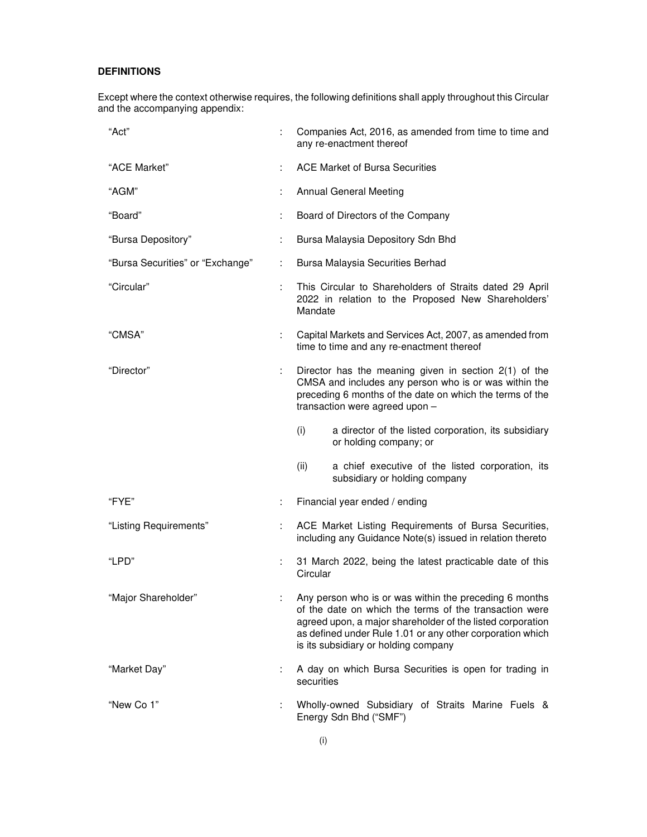## **DEFINITIONS**

Except where the context otherwise requires, the following definitions shall apply throughout this Circular and the accompanying appendix:

| "Act"                            |   | Companies Act, 2016, as amended from time to time and<br>any re-enactment thereof                                                                                                                                                                                                   |  |  |
|----------------------------------|---|-------------------------------------------------------------------------------------------------------------------------------------------------------------------------------------------------------------------------------------------------------------------------------------|--|--|
| "ACE Market"                     |   | <b>ACE Market of Bursa Securities</b>                                                                                                                                                                                                                                               |  |  |
| "AGM"                            |   | <b>Annual General Meeting</b>                                                                                                                                                                                                                                                       |  |  |
| "Board"                          |   | Board of Directors of the Company                                                                                                                                                                                                                                                   |  |  |
| "Bursa Depository"               |   | Bursa Malaysia Depository Sdn Bhd                                                                                                                                                                                                                                                   |  |  |
| "Bursa Securities" or "Exchange" | ÷ | Bursa Malaysia Securities Berhad                                                                                                                                                                                                                                                    |  |  |
| "Circular"                       |   | This Circular to Shareholders of Straits dated 29 April<br>2022 in relation to the Proposed New Shareholders'<br>Mandate                                                                                                                                                            |  |  |
| "CMSA"                           | ÷ | Capital Markets and Services Act, 2007, as amended from<br>time to time and any re-enactment thereof                                                                                                                                                                                |  |  |
| "Director"                       |   | Director has the meaning given in section 2(1) of the<br>CMSA and includes any person who is or was within the<br>preceding 6 months of the date on which the terms of the<br>transaction were agreed upon -                                                                        |  |  |
|                                  |   | (i)<br>a director of the listed corporation, its subsidiary<br>or holding company; or                                                                                                                                                                                               |  |  |
|                                  |   | a chief executive of the listed corporation, its<br>(ii)<br>subsidiary or holding company                                                                                                                                                                                           |  |  |
| "FYE"                            | ÷ | Financial year ended / ending                                                                                                                                                                                                                                                       |  |  |
| "Listing Requirements"           |   | ACE Market Listing Requirements of Bursa Securities,<br>including any Guidance Note(s) issued in relation thereto                                                                                                                                                                   |  |  |
| "LPD"                            |   | 31 March 2022, being the latest practicable date of this<br>Circular                                                                                                                                                                                                                |  |  |
| "Major Shareholder"              |   | Any person who is or was within the preceding 6 months<br>of the date on which the terms of the transaction were<br>agreed upon, a major shareholder of the listed corporation<br>as defined under Rule 1.01 or any other corporation which<br>is its subsidiary or holding company |  |  |
| "Market Day"                     |   | A day on which Bursa Securities is open for trading in<br>securities                                                                                                                                                                                                                |  |  |
| "New Co 1"                       |   | Wholly-owned Subsidiary of Straits Marine Fuels &<br>Energy Sdn Bhd ("SMF")                                                                                                                                                                                                         |  |  |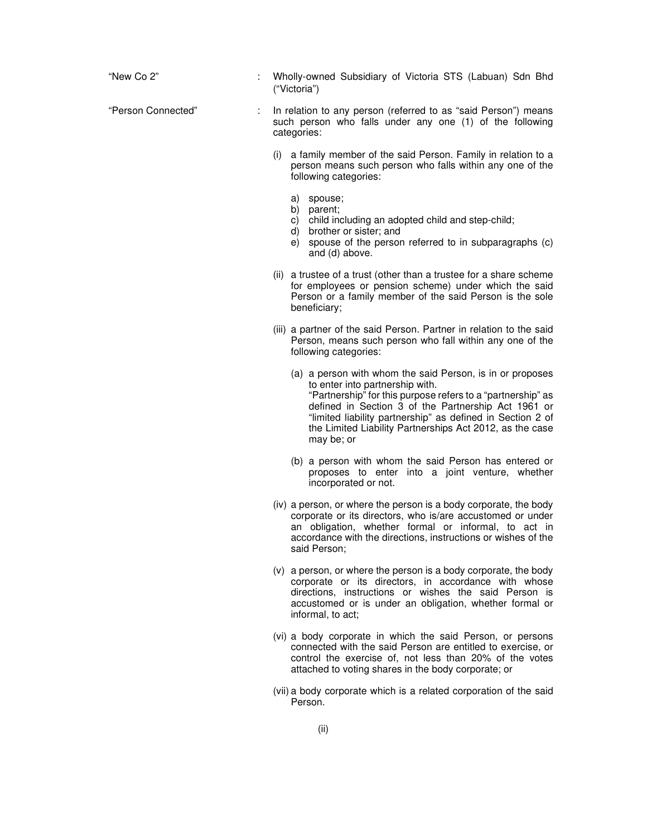| "New Co 2"         | Wholly-owned Subsidiary of Victoria STS (Labuan) Sdn Bhd<br>("Victoria")                                                                                                                                                                                                                                                                                   |
|--------------------|------------------------------------------------------------------------------------------------------------------------------------------------------------------------------------------------------------------------------------------------------------------------------------------------------------------------------------------------------------|
| "Person Connected" | In relation to any person (referred to as "said Person") means<br>such person who falls under any one (1) of the following<br>categories:                                                                                                                                                                                                                  |
|                    | (i) a family member of the said Person. Family in relation to a<br>person means such person who falls within any one of the<br>following categories:                                                                                                                                                                                                       |
|                    | a) spouse;<br>b) parent;<br>child including an adopted child and step-child;<br>C)<br>d)<br>brother or sister; and<br>spouse of the person referred to in subparagraphs (c)<br>e) -<br>and (d) above.                                                                                                                                                      |
|                    | (ii) a trustee of a trust (other than a trustee for a share scheme<br>for employees or pension scheme) under which the said<br>Person or a family member of the said Person is the sole<br>beneficiary;                                                                                                                                                    |
|                    | (iii) a partner of the said Person. Partner in relation to the said<br>Person, means such person who fall within any one of the<br>following categories:                                                                                                                                                                                                   |
|                    | (a) a person with whom the said Person, is in or proposes<br>to enter into partnership with.<br>"Partnership" for this purpose refers to a "partnership" as<br>defined in Section 3 of the Partnership Act 1961 or<br>"limited liability partnership" as defined in Section 2 of<br>the Limited Liability Partnerships Act 2012, as the case<br>may be; or |
|                    | (b) a person with whom the said Person has entered or<br>proposes to enter into a joint venture, whether<br>incorporated or not.                                                                                                                                                                                                                           |
|                    | (iv) a person, or where the person is a body corporate, the body<br>corporate or its directors, who is/are accustomed or under<br>an obligation, whether formal or informal, to act in<br>accordance with the directions, instructions or wishes of the<br>said Person;                                                                                    |
|                    | (v) a person, or where the person is a body corporate, the body<br>corporate or its directors, in accordance with whose<br>directions, instructions or wishes the said Person is<br>accustomed or is under an obligation, whether formal or<br>informal, to act;                                                                                           |
|                    | (vi) a body corporate in which the said Person, or persons<br>connected with the said Person are entitled to exercise, or<br>control the exercise of, not less than 20% of the votes<br>attached to voting shares in the body corporate; or                                                                                                                |
|                    | (vii) a body corporate which is a related corporation of the said<br>Person.                                                                                                                                                                                                                                                                               |
|                    | (ii)                                                                                                                                                                                                                                                                                                                                                       |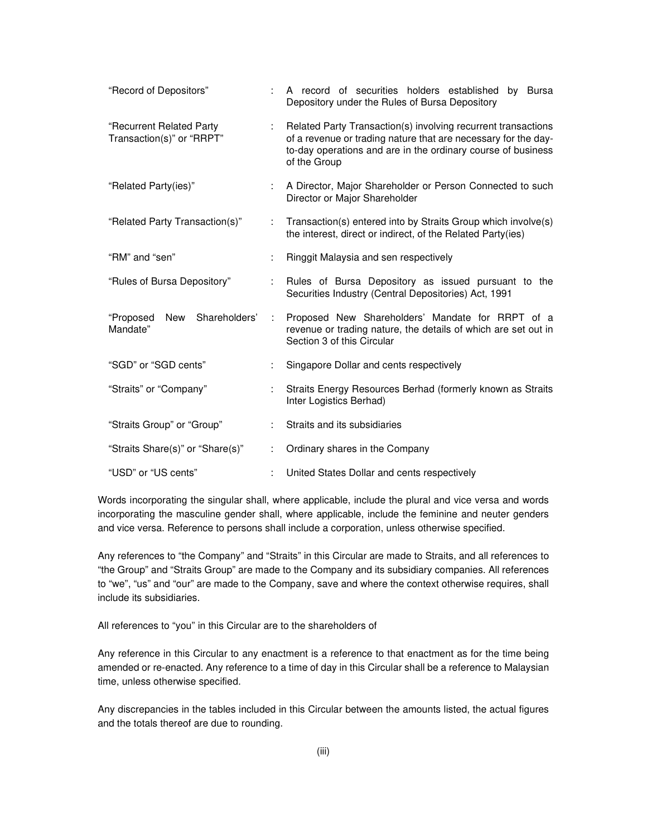| "Record of Depositors"                                |   | A record of securities holders established by Bursa<br>Depository under the Rules of Bursa Depository                                                                                                           |  |  |  |
|-------------------------------------------------------|---|-----------------------------------------------------------------------------------------------------------------------------------------------------------------------------------------------------------------|--|--|--|
| "Recurrent Related Party<br>Transaction(s)" or "RRPT" |   | Related Party Transaction(s) involving recurrent transactions<br>of a revenue or trading nature that are necessary for the day-<br>to-day operations and are in the ordinary course of business<br>of the Group |  |  |  |
| "Related Party(ies)"                                  |   | A Director, Major Shareholder or Person Connected to such<br>Director or Major Shareholder                                                                                                                      |  |  |  |
| "Related Party Transaction(s)"                        |   | Transaction(s) entered into by Straits Group which involve(s)<br>the interest, direct or indirect, of the Related Party(ies)                                                                                    |  |  |  |
| "RM" and "sen"                                        |   | Ringgit Malaysia and sen respectively                                                                                                                                                                           |  |  |  |
| "Rules of Bursa Depository"                           |   | Rules of Bursa Depository as issued pursuant to the<br>Securities Industry (Central Depositories) Act, 1991                                                                                                     |  |  |  |
| "Proposed<br>New<br>Shareholders'<br>Mandate"         | ÷ | Proposed New Shareholders' Mandate for RRPT of a<br>revenue or trading nature, the details of which are set out in<br>Section 3 of this Circular                                                                |  |  |  |
| "SGD" or "SGD cents"                                  |   | Singapore Dollar and cents respectively                                                                                                                                                                         |  |  |  |
| "Straits" or "Company"                                |   | Straits Energy Resources Berhad (formerly known as Straits<br>Inter Logistics Berhad)                                                                                                                           |  |  |  |
| "Straits Group" or "Group"                            |   | Straits and its subsidiaries                                                                                                                                                                                    |  |  |  |
| "Straits Share(s)" or "Share(s)"                      |   | Ordinary shares in the Company                                                                                                                                                                                  |  |  |  |
| "USD" or "US cents"                                   |   | United States Dollar and cents respectively                                                                                                                                                                     |  |  |  |

Words incorporating the singular shall, where applicable, include the plural and vice versa and words incorporating the masculine gender shall, where applicable, include the feminine and neuter genders and vice versa. Reference to persons shall include a corporation, unless otherwise specified.

Any references to "the Company" and "Straits" in this Circular are made to Straits, and all references to "the Group" and "Straits Group" are made to the Company and its subsidiary companies. All references to "we", "us" and "our" are made to the Company, save and where the context otherwise requires, shall include its subsidiaries.

All references to "you" in this Circular are to the shareholders of

Any reference in this Circular to any enactment is a reference to that enactment as for the time being amended or re-enacted. Any reference to a time of day in this Circular shall be a reference to Malaysian time, unless otherwise specified.

Any discrepancies in the tables included in this Circular between the amounts listed, the actual figures and the totals thereof are due to rounding.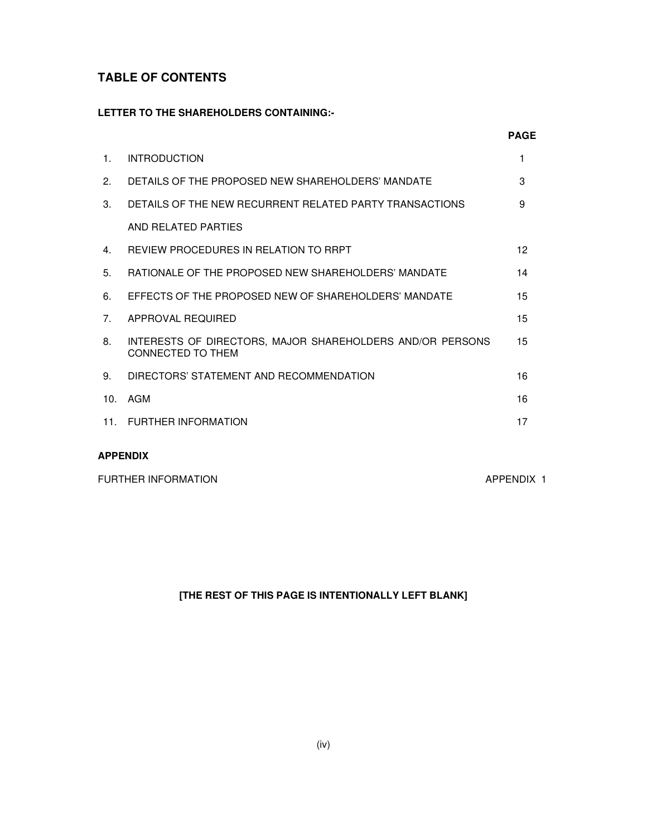# **TABLE OF CONTENTS**

## **LETTER TO THE SHAREHOLDERS CONTAINING:-**

|                |                                                                                | <b>PAGE</b> |
|----------------|--------------------------------------------------------------------------------|-------------|
| $\mathbf{1}$   | <b>INTRODUCTION</b>                                                            | 1           |
| 2.             | DETAILS OF THE PROPOSED NEW SHAREHOLDERS' MANDATE                              | 3           |
| 3 <sub>1</sub> | DETAILS OF THE NEW RECURRENT RELATED PARTY TRANSACTIONS                        | 9           |
|                | AND RELATED PARTIES                                                            |             |
| 4.             | REVIEW PROCEDURES IN RELATION TO RRPT                                          | 12          |
| 5 <sub>1</sub> | RATIONALE OF THE PROPOSED NEW SHAREHOLDERS' MANDATE                            | 14          |
| 6.             | EFFECTS OF THE PROPOSED NEW OF SHAREHOLDERS' MANDATE                           | 15          |
| 7 <sub>1</sub> | APPROVAL REQUIRED                                                              | 15          |
| 8.             | INTERESTS OF DIRECTORS, MAJOR SHAREHOLDERS AND/OR PERSONS<br>CONNECTED TO THEM | 15          |
| 9.             | DIRECTORS' STATEMENT AND RECOMMENDATION                                        | 16          |
| 10.            | AGM                                                                            | 16          |
|                | 11. FURTHER INFORMATION                                                        | 17          |
|                |                                                                                |             |

# **APPENDIX**

FURTHER INFORMATION **APPENDIX 1** 

# **[THE REST OF THIS PAGE IS INTENTIONALLY LEFT BLANK]**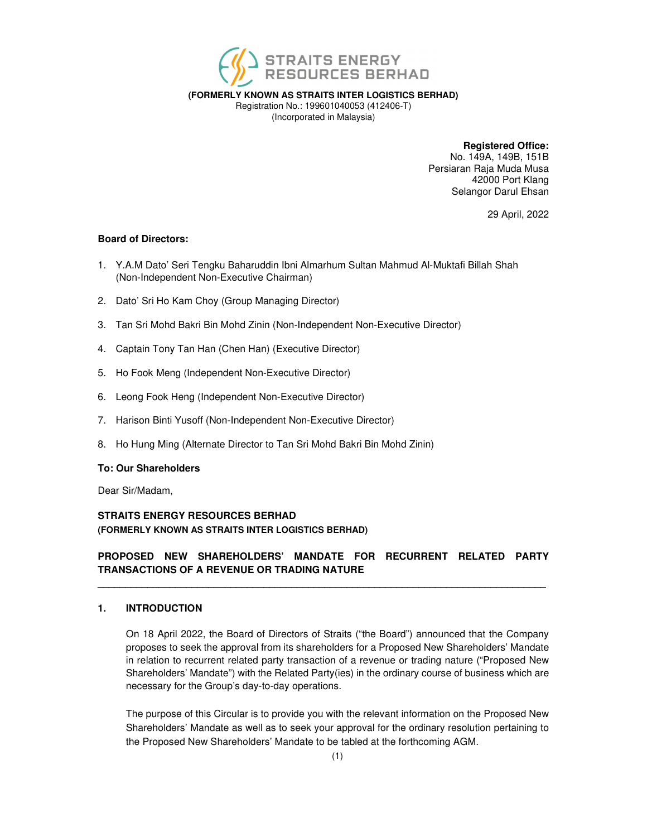

**(FORMERLY KNOWN AS STRAITS INTER LOGISTICS BERHAD)** 

Registration No.: 199601040053 (412406-T) (Incorporated in Malaysia)

**Registered Office:** 

No. 149A, 149B, 151B Persiaran Raja Muda Musa 42000 Port Klang Selangor Darul Ehsan

29 April, 2022

## **Board of Directors:**

- 1. Y.A.M Dato' Seri Tengku Baharuddin Ibni Almarhum Sultan Mahmud Al-Muktafi Billah Shah (Non-Independent Non-Executive Chairman)
- 2. Dato' Sri Ho Kam Choy (Group Managing Director)
- 3. Tan Sri Mohd Bakri Bin Mohd Zinin (Non-Independent Non-Executive Director)
- 4. Captain Tony Tan Han (Chen Han) (Executive Director)
- 5. Ho Fook Meng (Independent Non-Executive Director)
- 6. Leong Fook Heng (Independent Non-Executive Director)
- 7. Harison Binti Yusoff (Non-Independent Non-Executive Director)
- 8. Ho Hung Ming (Alternate Director to Tan Sri Mohd Bakri Bin Mohd Zinin)

## **To: Our Shareholders**

Dear Sir/Madam,

## **STRAITS ENERGY RESOURCES BERHAD (FORMERLY KNOWN AS STRAITS INTER LOGISTICS BERHAD)**

## **PROPOSED NEW SHAREHOLDERS' MANDATE FOR RECURRENT RELATED PARTY TRANSACTIONS OF A REVENUE OR TRADING NATURE \_\_\_\_\_\_\_\_\_\_\_\_\_\_\_\_\_\_\_\_\_\_\_\_\_\_\_\_\_\_\_\_\_\_\_\_\_\_\_\_\_\_\_\_\_\_\_\_\_\_\_\_\_\_\_\_\_\_\_\_\_\_\_\_\_\_\_\_\_\_\_\_\_\_\_\_\_\_\_\_\_**

## **1. INTRODUCTION**

On 18 April 2022, the Board of Directors of Straits ("the Board") announced that the Company proposes to seek the approval from its shareholders for a Proposed New Shareholders' Mandate in relation to recurrent related party transaction of a revenue or trading nature ("Proposed New Shareholders' Mandate") with the Related Party(ies) in the ordinary course of business which are necessary for the Group's day-to-day operations.

The purpose of this Circular is to provide you with the relevant information on the Proposed New Shareholders' Mandate as well as to seek your approval for the ordinary resolution pertaining to the Proposed New Shareholders' Mandate to be tabled at the forthcoming AGM.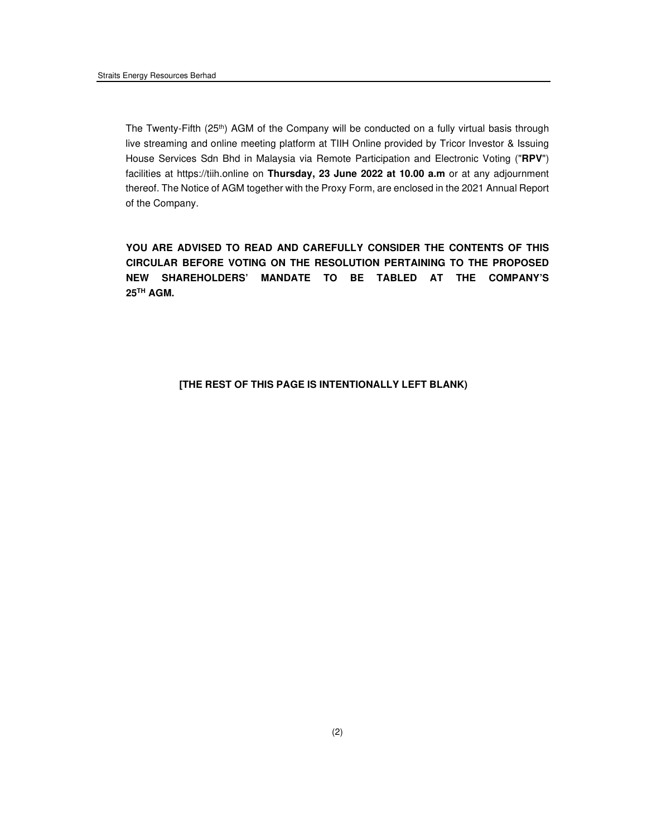The Twenty-Fifth (25th) AGM of the Company will be conducted on a fully virtual basis through live streaming and online meeting platform at TIIH Online provided by Tricor Investor & Issuing House Services Sdn Bhd in Malaysia via Remote Participation and Electronic Voting ("**RPV**") facilities at https://tiih.online on **Thursday, 23 June 2022 at 10.00 a.m** or at any adjournment thereof. The Notice of AGM together with the Proxy Form, are enclosed in the 2021 Annual Report of the Company.

**YOU ARE ADVISED TO READ AND CAREFULLY CONSIDER THE CONTENTS OF THIS CIRCULAR BEFORE VOTING ON THE RESOLUTION PERTAINING TO THE PROPOSED NEW SHAREHOLDERS' MANDATE TO BE TABLED AT THE COMPANY'S 25TH AGM.** 

## **[THE REST OF THIS PAGE IS INTENTIONALLY LEFT BLANK)**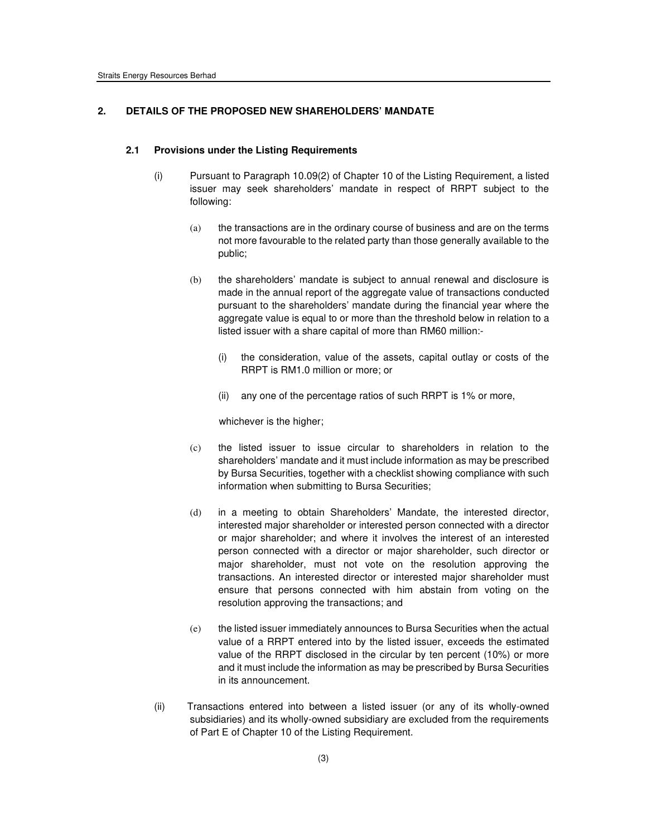#### **2. DETAILS OF THE PROPOSED NEW SHAREHOLDERS' MANDATE**

#### **2.1 Provisions under the Listing Requirements**

- (i) Pursuant to Paragraph 10.09(2) of Chapter 10 of the Listing Requirement, a listed issuer may seek shareholders' mandate in respect of RRPT subject to the following:
	- (a) the transactions are in the ordinary course of business and are on the terms not more favourable to the related party than those generally available to the public;
	- (b) the shareholders' mandate is subject to annual renewal and disclosure is made in the annual report of the aggregate value of transactions conducted pursuant to the shareholders' mandate during the financial year where the aggregate value is equal to or more than the threshold below in relation to a listed issuer with a share capital of more than RM60 million:-
		- (i) the consideration, value of the assets, capital outlay or costs of the RRPT is RM1.0 million or more; or
		- (ii) any one of the percentage ratios of such RRPT is 1% or more,

whichever is the higher;

- (c) the listed issuer to issue circular to shareholders in relation to the shareholders' mandate and it must include information as may be prescribed by Bursa Securities, together with a checklist showing compliance with such information when submitting to Bursa Securities;
- (d) in a meeting to obtain Shareholders' Mandate, the interested director, interested major shareholder or interested person connected with a director or major shareholder; and where it involves the interest of an interested person connected with a director or major shareholder, such director or major shareholder, must not vote on the resolution approving the transactions. An interested director or interested major shareholder must ensure that persons connected with him abstain from voting on the resolution approving the transactions; and
- (e) the listed issuer immediately announces to Bursa Securities when the actual value of a RRPT entered into by the listed issuer, exceeds the estimated value of the RRPT disclosed in the circular by ten percent (10%) or more and it must include the information as may be prescribed by Bursa Securities in its announcement.
- (ii) Transactions entered into between a listed issuer (or any of its wholly-owned subsidiaries) and its wholly-owned subsidiary are excluded from the requirements of Part E of Chapter 10 of the Listing Requirement.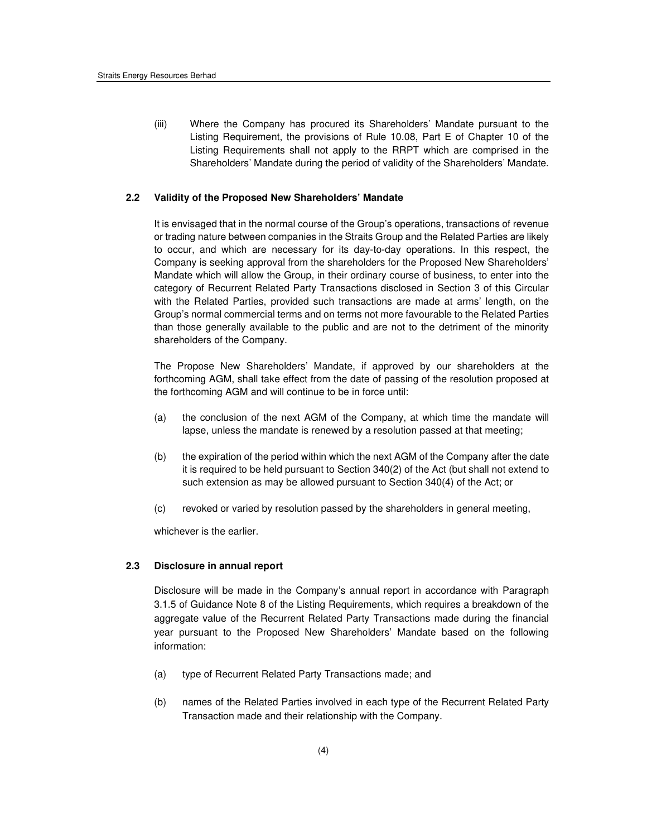(iii) Where the Company has procured its Shareholders' Mandate pursuant to the Listing Requirement, the provisions of Rule 10.08, Part E of Chapter 10 of the Listing Requirements shall not apply to the RRPT which are comprised in the Shareholders' Mandate during the period of validity of the Shareholders' Mandate.

#### **2.2 Validity of the Proposed New Shareholders' Mandate**

It is envisaged that in the normal course of the Group's operations, transactions of revenue or trading nature between companies in the Straits Group and the Related Parties are likely to occur, and which are necessary for its day-to-day operations. In this respect, the Company is seeking approval from the shareholders for the Proposed New Shareholders' Mandate which will allow the Group, in their ordinary course of business, to enter into the category of Recurrent Related Party Transactions disclosed in Section 3 of this Circular with the Related Parties, provided such transactions are made at arms' length, on the Group's normal commercial terms and on terms not more favourable to the Related Parties than those generally available to the public and are not to the detriment of the minority shareholders of the Company.

The Propose New Shareholders' Mandate, if approved by our shareholders at the forthcoming AGM, shall take effect from the date of passing of the resolution proposed at the forthcoming AGM and will continue to be in force until:

- (a) the conclusion of the next AGM of the Company, at which time the mandate will lapse, unless the mandate is renewed by a resolution passed at that meeting;
- (b) the expiration of the period within which the next AGM of the Company after the date it is required to be held pursuant to Section 340(2) of the Act (but shall not extend to such extension as may be allowed pursuant to Section 340(4) of the Act; or
- (c) revoked or varied by resolution passed by the shareholders in general meeting,

whichever is the earlier.

#### **2.3 Disclosure in annual report**

Disclosure will be made in the Company's annual report in accordance with Paragraph 3.1.5 of Guidance Note 8 of the Listing Requirements, which requires a breakdown of the aggregate value of the Recurrent Related Party Transactions made during the financial year pursuant to the Proposed New Shareholders' Mandate based on the following information:

- (a) type of Recurrent Related Party Transactions made; and
- (b) names of the Related Parties involved in each type of the Recurrent Related Party Transaction made and their relationship with the Company.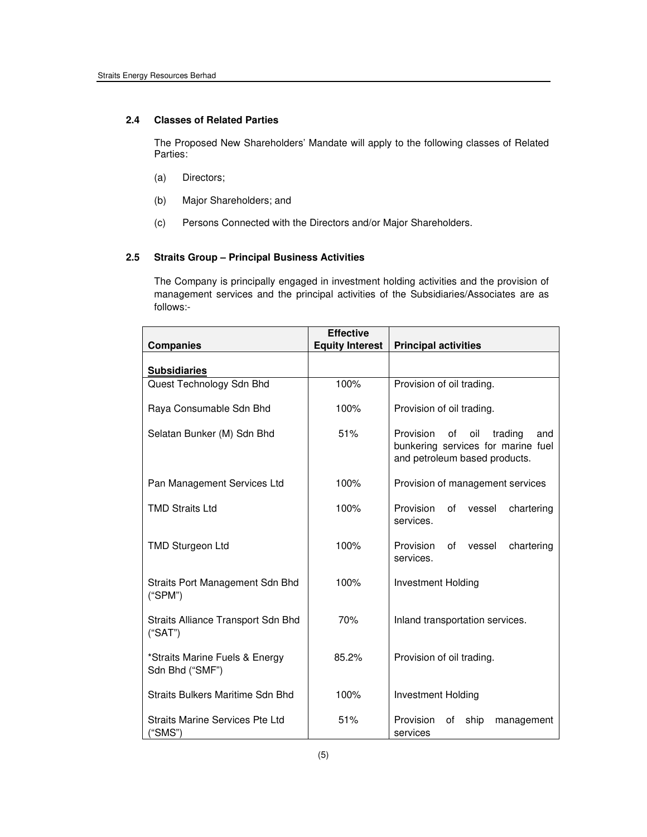### **2.4 Classes of Related Parties**

The Proposed New Shareholders' Mandate will apply to the following classes of Related Parties:

- (a) Directors;
- (b) Major Shareholders; and
- (c) Persons Connected with the Directors and/or Major Shareholders.

## **2.5 Straits Group – Principal Business Activities**

 The Company is principally engaged in investment holding activities and the provision of management services and the principal activities of the Subsidiaries/Associates are as follows:-

| <b>Companies</b>                                  | <b>Effective</b><br><b>Equity Interest</b> | <b>Principal activities</b>                                                                                     |  |  |  |
|---------------------------------------------------|--------------------------------------------|-----------------------------------------------------------------------------------------------------------------|--|--|--|
| <b>Subsidiaries</b>                               |                                            |                                                                                                                 |  |  |  |
| Quest Technology Sdn Bhd                          | 100%                                       | Provision of oil trading.                                                                                       |  |  |  |
| Raya Consumable Sdn Bhd                           | 100%                                       | Provision of oil trading.                                                                                       |  |  |  |
| Selatan Bunker (M) Sdn Bhd                        | 51%                                        | Provision<br>οf<br>oil<br>trading<br>and<br>bunkering services for marine fuel<br>and petroleum based products. |  |  |  |
| Pan Management Services Ltd                       | 100%                                       | Provision of management services                                                                                |  |  |  |
| <b>TMD Straits Ltd</b>                            | 100%                                       | Provision<br>οf<br>chartering<br>vessel<br>services.                                                            |  |  |  |
| <b>TMD Sturgeon Ltd</b>                           | 100%                                       | Provision<br>οf<br>chartering<br>vessel<br>services.                                                            |  |  |  |
| Straits Port Management Sdn Bhd<br>("SPM")        | 100%                                       | <b>Investment Holding</b>                                                                                       |  |  |  |
| Straits Alliance Transport Sdn Bhd<br>("SAT")     | 70%                                        | Inland transportation services.                                                                                 |  |  |  |
| *Straits Marine Fuels & Energy<br>Sdn Bhd ("SMF") | 85.2%                                      | Provision of oil trading.                                                                                       |  |  |  |
| Straits Bulkers Maritime Sdn Bhd                  | 100%                                       | Investment Holding                                                                                              |  |  |  |
| Straits Marine Services Pte Ltd<br>("SMS")        | 51%                                        | Provision<br>ship<br>οf<br>management<br>services                                                               |  |  |  |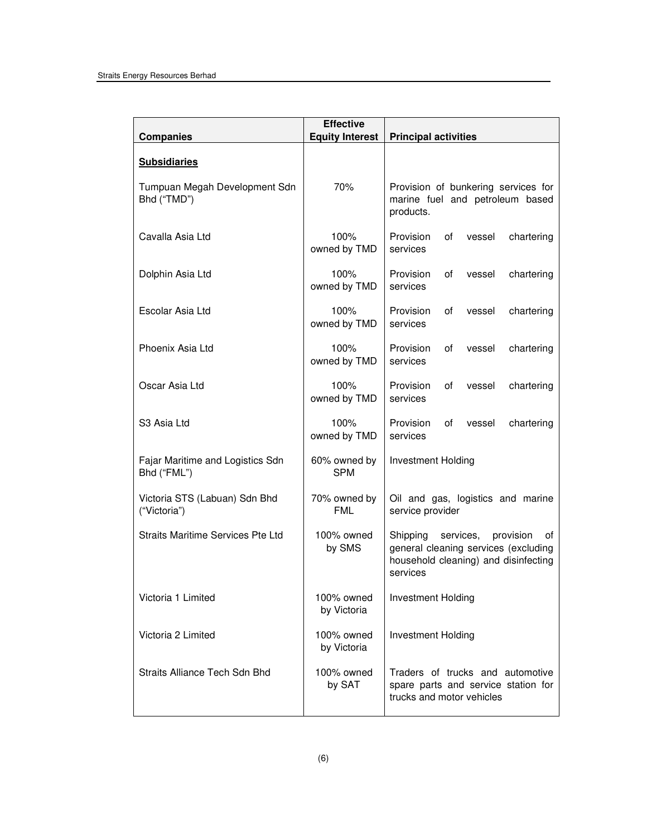| <b>Companies</b>                                | <b>Effective</b><br><b>Equity Interest</b> | <b>Principal activities</b>                                                                                                          |
|-------------------------------------------------|--------------------------------------------|--------------------------------------------------------------------------------------------------------------------------------------|
| <b>Subsidiaries</b>                             |                                            |                                                                                                                                      |
| Tumpuan Megah Development Sdn<br>Bhd ("TMD")    | 70%                                        | Provision of bunkering services for<br>marine fuel and petroleum based<br>products.                                                  |
| Cavalla Asia Ltd                                | 100%<br>owned by TMD                       | Provision<br>οf<br>vessel<br>chartering<br>services                                                                                  |
| Dolphin Asia Ltd                                | 100%<br>owned by TMD                       | Provision<br>of<br>vessel<br>chartering<br>services                                                                                  |
| Escolar Asia Ltd                                | 100%<br>owned by TMD                       | Provision<br>of<br>vessel<br>chartering<br>services                                                                                  |
| Phoenix Asia Ltd                                | 100%<br>owned by TMD                       | Provision<br>0f<br>vessel<br>chartering<br>services                                                                                  |
| Oscar Asia Ltd                                  | 100%<br>owned by TMD                       | Provision<br>of<br>vessel<br>chartering<br>services                                                                                  |
| S <sub>3</sub> Asia Ltd                         | 100%<br>owned by TMD                       | Provision<br>of<br>vessel<br>chartering<br>services                                                                                  |
| Fajar Maritime and Logistics Sdn<br>Bhd ("FML") | 60% owned by<br><b>SPM</b>                 | Investment Holding                                                                                                                   |
| Victoria STS (Labuan) Sdn Bhd<br>("Victoria")   | 70% owned by<br><b>FML</b>                 | Oil and gas, logistics and marine<br>service provider                                                                                |
| Straits Maritime Services Pte Ltd               | 100% owned<br>by SMS                       | services,<br>Shipping<br>provision<br>οf<br>general cleaning services (excluding<br>household cleaning) and disinfecting<br>services |
| Victoria 1 Limited                              | 100% owned<br>by Victoria                  | Investment Holding                                                                                                                   |
| Victoria 2 Limited                              | 100% owned<br>by Victoria                  | Investment Holding                                                                                                                   |
| Straits Alliance Tech Sdn Bhd                   | 100% owned<br>by SAT                       | Traders of trucks and automotive<br>spare parts and service station for<br>trucks and motor vehicles                                 |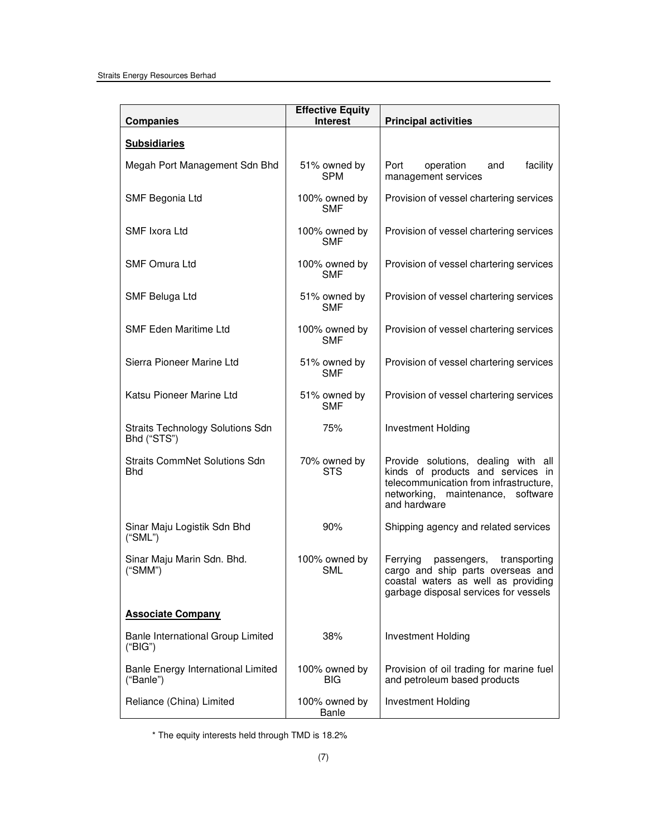| <b>Companies</b>                                       | <b>Effective Equity</b><br><b>Interest</b> | <b>Principal activities</b>                                                                                                                                             |
|--------------------------------------------------------|--------------------------------------------|-------------------------------------------------------------------------------------------------------------------------------------------------------------------------|
| <b>Subsidiaries</b>                                    |                                            |                                                                                                                                                                         |
| Megah Port Management Sdn Bhd                          | 51% owned by<br><b>SPM</b>                 | Port<br>facility<br>operation<br>and<br>management services                                                                                                             |
| SMF Begonia Ltd                                        | 100% owned by<br><b>SMF</b>                | Provision of vessel chartering services                                                                                                                                 |
| SMF Ixora Ltd                                          | 100% owned by<br><b>SMF</b>                | Provision of vessel chartering services                                                                                                                                 |
| <b>SMF Omura Ltd</b>                                   | 100% owned by<br><b>SMF</b>                | Provision of vessel chartering services                                                                                                                                 |
| SMF Beluga Ltd                                         | 51% owned by<br><b>SMF</b>                 | Provision of vessel chartering services                                                                                                                                 |
| <b>SMF Eden Maritime Ltd</b>                           | 100% owned by<br><b>SMF</b>                | Provision of vessel chartering services                                                                                                                                 |
| Sierra Pioneer Marine Ltd                              | 51% owned by<br><b>SMF</b>                 | Provision of vessel chartering services                                                                                                                                 |
| Katsu Pioneer Marine Ltd                               | 51% owned by<br><b>SMF</b>                 | Provision of vessel chartering services                                                                                                                                 |
| <b>Straits Technology Solutions Sdn</b><br>Bhd ("STS") | 75%                                        | <b>Investment Holding</b>                                                                                                                                               |
| <b>Straits CommNet Solutions Sdn</b><br><b>Bhd</b>     | 70% owned by<br><b>STS</b>                 | Provide solutions, dealing with all<br>kinds of products and services in<br>telecommunication from infrastructure,<br>networking, maintenance, software<br>and hardware |
| Sinar Maju Logistik Sdn Bhd<br>("SML")                 | 90%                                        | Shipping agency and related services                                                                                                                                    |
| Sinar Maju Marin Sdn. Bhd.<br>("SMM")                  | 100% owned by<br>SML                       | Ferrying<br>passengers,<br>transporting<br>cargo and ship parts overseas and<br>coastal waters as well as providing<br>garbage disposal services for vessels            |
| <b>Associate Company</b>                               |                                            |                                                                                                                                                                         |
| Banle International Group Limited<br>("BIG")           | 38%                                        | Investment Holding                                                                                                                                                      |
| Banle Energy International Limited<br>("Banle")        | 100% owned by<br>BIG                       | Provision of oil trading for marine fuel<br>and petroleum based products                                                                                                |
| Reliance (China) Limited                               | 100% owned by<br>Banle                     | <b>Investment Holding</b>                                                                                                                                               |

\* The equity interests held through TMD is 18.2%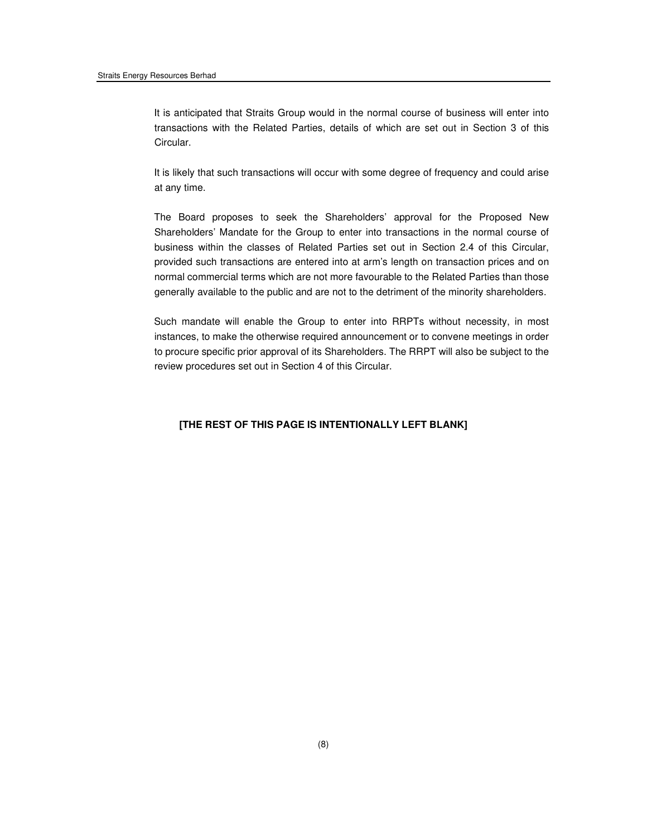It is anticipated that Straits Group would in the normal course of business will enter into transactions with the Related Parties, details of which are set out in Section 3 of this Circular.

 It is likely that such transactions will occur with some degree of frequency and could arise at any time.

 The Board proposes to seek the Shareholders' approval for the Proposed New Shareholders' Mandate for the Group to enter into transactions in the normal course of business within the classes of Related Parties set out in Section 2.4 of this Circular, provided such transactions are entered into at arm's length on transaction prices and on normal commercial terms which are not more favourable to the Related Parties than those generally available to the public and are not to the detriment of the minority shareholders.

 Such mandate will enable the Group to enter into RRPTs without necessity, in most instances, to make the otherwise required announcement or to convene meetings in order to procure specific prior approval of its Shareholders. The RRPT will also be subject to the review procedures set out in Section 4 of this Circular.

## **[THE REST OF THIS PAGE IS INTENTIONALLY LEFT BLANK]**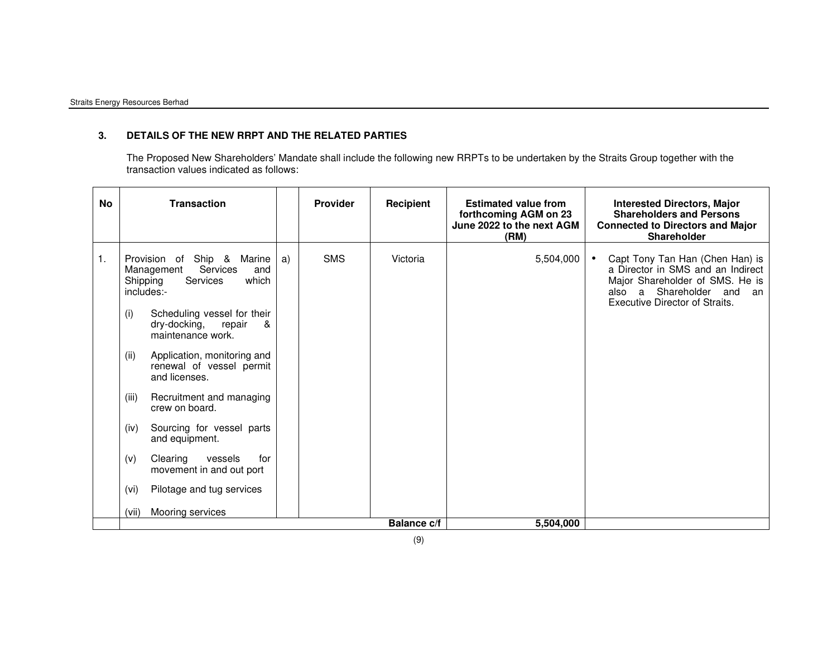## **3. DETAILS OF THE NEW RRPT AND THE RELATED PARTIES**

The Proposed New Shareholders' Mandate shall include the following new RRPTs to be undertaken by the Straits Group together with the transaction values indicated as follows:

| <b>No</b>      | <b>Transaction</b>                                                                                                                                                                                                                                                                                                                                                                                                                                                                                                                                  |    | <b>Provider</b> | Recipient          | <b>Estimated value from</b><br>forthcoming AGM on 23<br>June 2022 to the next AGM<br>(RM) | <b>Interested Directors, Major</b><br><b>Shareholders and Persons</b><br><b>Connected to Directors and Major</b><br><b>Shareholder</b>                                                        |
|----------------|-----------------------------------------------------------------------------------------------------------------------------------------------------------------------------------------------------------------------------------------------------------------------------------------------------------------------------------------------------------------------------------------------------------------------------------------------------------------------------------------------------------------------------------------------------|----|-----------------|--------------------|-------------------------------------------------------------------------------------------|-----------------------------------------------------------------------------------------------------------------------------------------------------------------------------------------------|
| $\mathbf{1}$ . | Provision of Ship &<br>Marine<br>Services<br>Management<br>and<br><b>Services</b><br>which<br>Shipping<br>includes:-<br>Scheduling vessel for their<br>(i)<br>dry-docking,<br>repair<br>&<br>maintenance work.<br>Application, monitoring and<br>(ii)<br>renewal of vessel permit<br>and licenses.<br>Recruitment and managing<br>(iii)<br>crew on board.<br>(iv)<br>Sourcing for vessel parts<br>and equipment.<br>Clearing<br>(v)<br>vessels<br>for<br>movement in and out port<br>Pilotage and tug services<br>(vi)<br>Mooring services<br>(vii) | a) | <b>SMS</b>      | Victoria           | 5,504,000                                                                                 | Capt Tony Tan Han (Chen Han) is<br>$\bullet$<br>a Director in SMS and an Indirect<br>Major Shareholder of SMS. He is<br>also a Shareholder and<br>an<br><b>Executive Director of Straits.</b> |
|                |                                                                                                                                                                                                                                                                                                                                                                                                                                                                                                                                                     |    |                 | <b>Balance c/f</b> | 5,504,000                                                                                 |                                                                                                                                                                                               |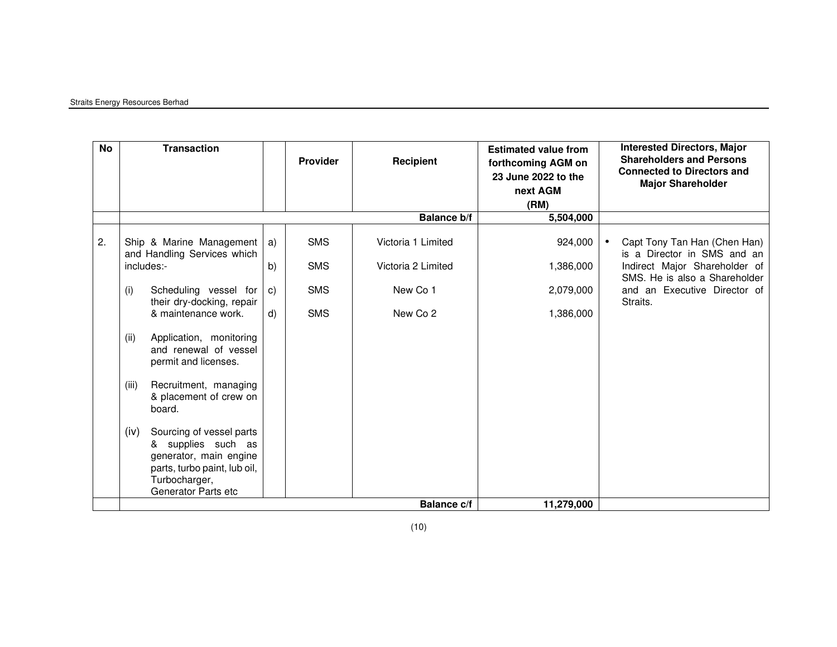## Straits Energy Resources Berhad

| No | <b>Transaction</b>                                                                                                                                       |              | Provider   | Recipient          | <b>Estimated value from</b><br>forthcoming AGM on<br>23 June 2022 to the<br>next AGM<br>(RM) | <b>Interested Directors, Major</b><br><b>Shareholders and Persons</b><br><b>Connected to Directors and</b><br><b>Major Shareholder</b> |
|----|----------------------------------------------------------------------------------------------------------------------------------------------------------|--------------|------------|--------------------|----------------------------------------------------------------------------------------------|----------------------------------------------------------------------------------------------------------------------------------------|
|    |                                                                                                                                                          |              |            | <b>Balance b/f</b> | 5,504,000                                                                                    |                                                                                                                                        |
| 2. | Ship & Marine Management<br>and Handling Services which                                                                                                  | a)           | <b>SMS</b> | Victoria 1 Limited | 924,000                                                                                      | Capt Tony Tan Han (Chen Han)<br>is a Director in SMS and an                                                                            |
|    | includes:-                                                                                                                                               | b)           | <b>SMS</b> | Victoria 2 Limited | 1,386,000                                                                                    | Indirect Major Shareholder of<br>SMS. He is also a Shareholder                                                                         |
|    | (i)<br>Scheduling vessel for<br>their dry-docking, repair                                                                                                | C)           | <b>SMS</b> | New Co 1           | 2,079,000                                                                                    | and an Executive Director of<br>Straits.                                                                                               |
|    | & maintenance work.                                                                                                                                      | $\mathsf{d}$ | <b>SMS</b> | New Co 2           | 1,386,000                                                                                    |                                                                                                                                        |
|    | (ii)<br>Application, monitoring<br>and renewal of vessel<br>permit and licenses.                                                                         |              |            |                    |                                                                                              |                                                                                                                                        |
|    | (iii)<br>Recruitment, managing<br>& placement of crew on<br>board.                                                                                       |              |            |                    |                                                                                              |                                                                                                                                        |
|    | (iv)<br>Sourcing of vessel parts<br>& supplies such as<br>generator, main engine<br>parts, turbo paint, lub oil,<br>Turbocharger,<br>Generator Parts etc |              |            |                    |                                                                                              |                                                                                                                                        |
|    |                                                                                                                                                          |              |            | <b>Balance c/f</b> | 11,279,000                                                                                   |                                                                                                                                        |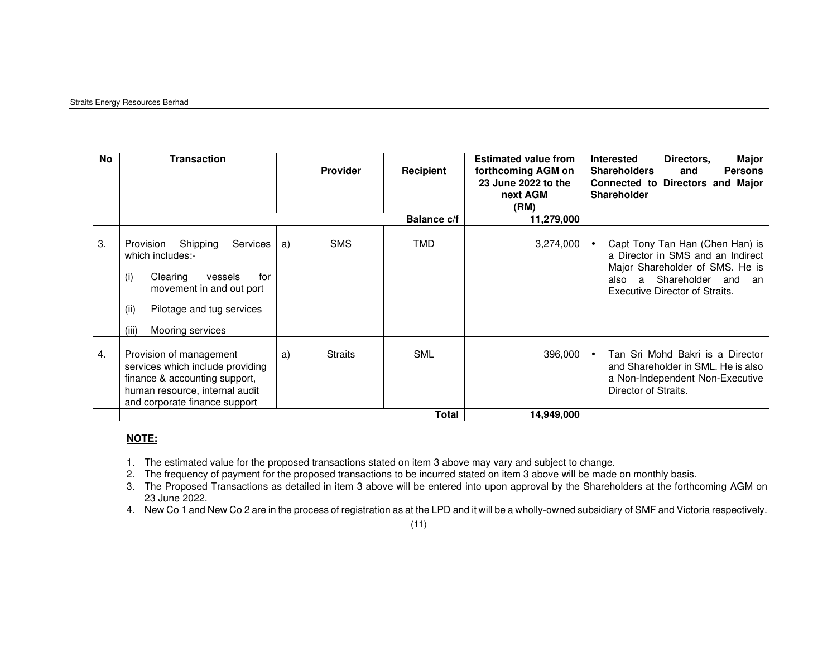#### Straits Energy Resources Berhad

| No. | Transaction                                                                                                                                                                                     |    | <b>Provider</b> | <b>Recipient</b>   | <b>Estimated value from</b><br>forthcoming AGM on<br>23 June 2022 to the<br>next AGM<br>(RM) | <b>Major</b><br>Interested<br>Directors,<br><b>Shareholders</b><br><b>Persons</b><br>and<br>Connected to Directors and Major<br><b>Shareholder</b>                                           |
|-----|-------------------------------------------------------------------------------------------------------------------------------------------------------------------------------------------------|----|-----------------|--------------------|----------------------------------------------------------------------------------------------|----------------------------------------------------------------------------------------------------------------------------------------------------------------------------------------------|
|     |                                                                                                                                                                                                 |    |                 | <b>Balance c/f</b> | 11,279,000                                                                                   |                                                                                                                                                                                              |
| 3.  | Provision<br>Shipping<br><b>Services</b><br>which includes:-<br>(i)<br>Clearing<br>vessels<br>for<br>movement in and out port<br>(ii)<br>Pilotage and tug services<br>(iii)<br>Mooring services | a) | <b>SMS</b>      | <b>TMD</b>         | 3,274,000                                                                                    | Capt Tony Tan Han (Chen Han) is<br>$\bullet$<br>a Director in SMS and an Indirect<br>Major Shareholder of SMS. He is<br>a Shareholder<br>also<br>and<br>an<br>Executive Director of Straits. |
| 4.  | Provision of management<br>services which include providing<br>finance & accounting support,<br>human resource, internal audit<br>and corporate finance support                                 | a) | <b>Straits</b>  | <b>SML</b>         | 396,000                                                                                      | Tan Sri Mohd Bakri is a Director<br>$\bullet$<br>and Shareholder in SML. He is also<br>a Non-Independent Non-Executive<br>Director of Straits.                                               |
|     |                                                                                                                                                                                                 |    |                 | <b>Total</b>       | 14,949,000                                                                                   |                                                                                                                                                                                              |

## **NOTE:**

- 1. The estimated value for the proposed transactions stated on item 3 above may vary and subject to change.
- 2. The frequency of payment for the proposed transactions to be incurred stated on item 3 above will be made on monthly basis.
- 3. The Proposed Transactions as detailed in item 3 above will be entered into upon approval by the Shareholders at the forthcoming AGM on 23 June 2022.
- 4. New Co 1 and New Co 2 are in the process of registration as at the LPD and it will be a wholly-owned subsidiary of SMF and Victoria respectively.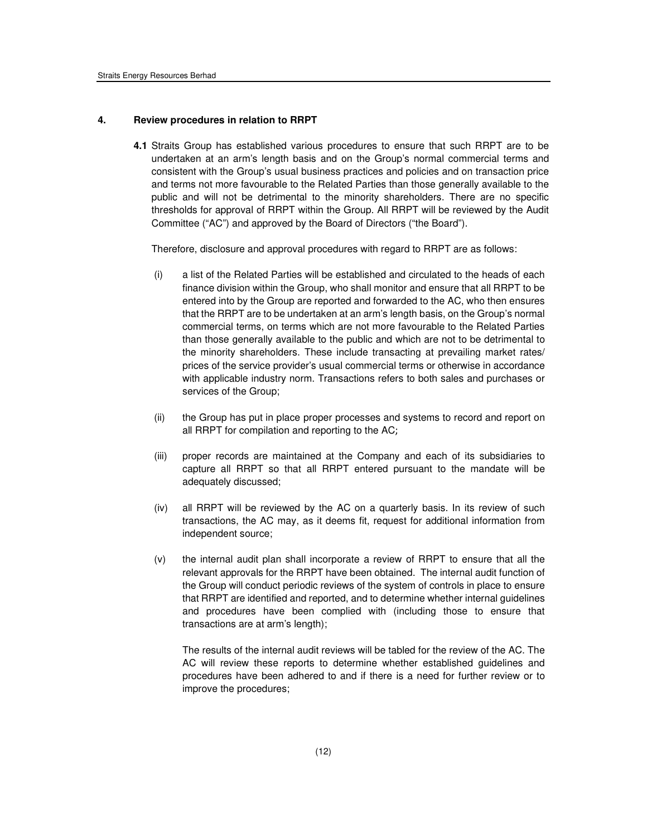#### **4. Review procedures in relation to RRPT**

**4.1** Straits Group has established various procedures to ensure that such RRPT are to be undertaken at an arm's length basis and on the Group's normal commercial terms and consistent with the Group's usual business practices and policies and on transaction price and terms not more favourable to the Related Parties than those generally available to the public and will not be detrimental to the minority shareholders. There are no specific thresholds for approval of RRPT within the Group. All RRPT will be reviewed by the Audit Committee ("AC") and approved by the Board of Directors ("the Board").

Therefore, disclosure and approval procedures with regard to RRPT are as follows:

- (i) a list of the Related Parties will be established and circulated to the heads of each finance division within the Group, who shall monitor and ensure that all RRPT to be entered into by the Group are reported and forwarded to the AC, who then ensures that the RRPT are to be undertaken at an arm's length basis, on the Group's normal commercial terms, on terms which are not more favourable to the Related Parties than those generally available to the public and which are not to be detrimental to the minority shareholders. These include transacting at prevailing market rates/ prices of the service provider's usual commercial terms or otherwise in accordance with applicable industry norm. Transactions refers to both sales and purchases or services of the Group;
- (ii) the Group has put in place proper processes and systems to record and report on all RRPT for compilation and reporting to the AC;
- (iii) proper records are maintained at the Company and each of its subsidiaries to capture all RRPT so that all RRPT entered pursuant to the mandate will be adequately discussed;
- (iv) all RRPT will be reviewed by the AC on a quarterly basis. In its review of such transactions, the AC may, as it deems fit, request for additional information from independent source;
- (v) the internal audit plan shall incorporate a review of RRPT to ensure that all the relevant approvals for the RRPT have been obtained. The internal audit function of the Group will conduct periodic reviews of the system of controls in place to ensure that RRPT are identified and reported, and to determine whether internal guidelines and procedures have been complied with (including those to ensure that transactions are at arm's length);

The results of the internal audit reviews will be tabled for the review of the AC. The AC will review these reports to determine whether established guidelines and procedures have been adhered to and if there is a need for further review or to improve the procedures;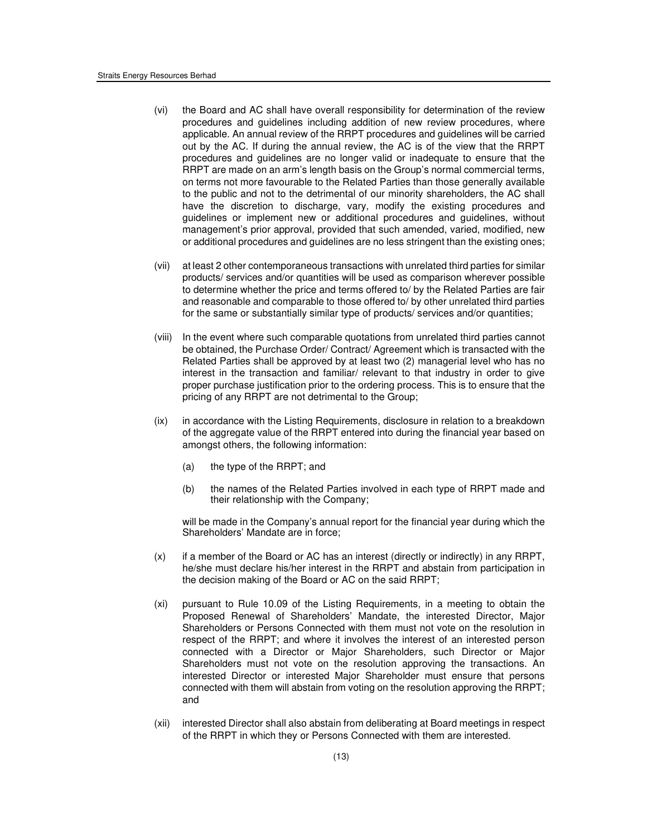- (vi) the Board and AC shall have overall responsibility for determination of the review procedures and guidelines including addition of new review procedures, where applicable. An annual review of the RRPT procedures and guidelines will be carried out by the AC. If during the annual review, the AC is of the view that the RRPT procedures and guidelines are no longer valid or inadequate to ensure that the RRPT are made on an arm's length basis on the Group's normal commercial terms, on terms not more favourable to the Related Parties than those generally available to the public and not to the detrimental of our minority shareholders, the AC shall have the discretion to discharge, vary, modify the existing procedures and guidelines or implement new or additional procedures and guidelines, without management's prior approval, provided that such amended, varied, modified, new or additional procedures and guidelines are no less stringent than the existing ones;
- (vii) at least 2 other contemporaneous transactions with unrelated third parties for similar products/ services and/or quantities will be used as comparison wherever possible to determine whether the price and terms offered to/ by the Related Parties are fair and reasonable and comparable to those offered to/ by other unrelated third parties for the same or substantially similar type of products/ services and/or quantities;
- (viii) In the event where such comparable quotations from unrelated third parties cannot be obtained, the Purchase Order/ Contract/ Agreement which is transacted with the Related Parties shall be approved by at least two (2) managerial level who has no interest in the transaction and familiar/ relevant to that industry in order to give proper purchase justification prior to the ordering process. This is to ensure that the pricing of any RRPT are not detrimental to the Group;
- (ix) in accordance with the Listing Requirements, disclosure in relation to a breakdown of the aggregate value of the RRPT entered into during the financial year based on amongst others, the following information:
	- (a) the type of the RRPT; and
	- (b) the names of the Related Parties involved in each type of RRPT made and their relationship with the Company;

will be made in the Company's annual report for the financial year during which the Shareholders' Mandate are in force;

- (x) if a member of the Board or AC has an interest (directly or indirectly) in any RRPT, he/she must declare his/her interest in the RRPT and abstain from participation in the decision making of the Board or AC on the said RRPT;
- (xi) pursuant to Rule 10.09 of the Listing Requirements, in a meeting to obtain the Proposed Renewal of Shareholders' Mandate, the interested Director, Major Shareholders or Persons Connected with them must not vote on the resolution in respect of the RRPT; and where it involves the interest of an interested person connected with a Director or Major Shareholders, such Director or Major Shareholders must not vote on the resolution approving the transactions. An interested Director or interested Major Shareholder must ensure that persons connected with them will abstain from voting on the resolution approving the RRPT; and
- (xii) interested Director shall also abstain from deliberating at Board meetings in respect of the RRPT in which they or Persons Connected with them are interested.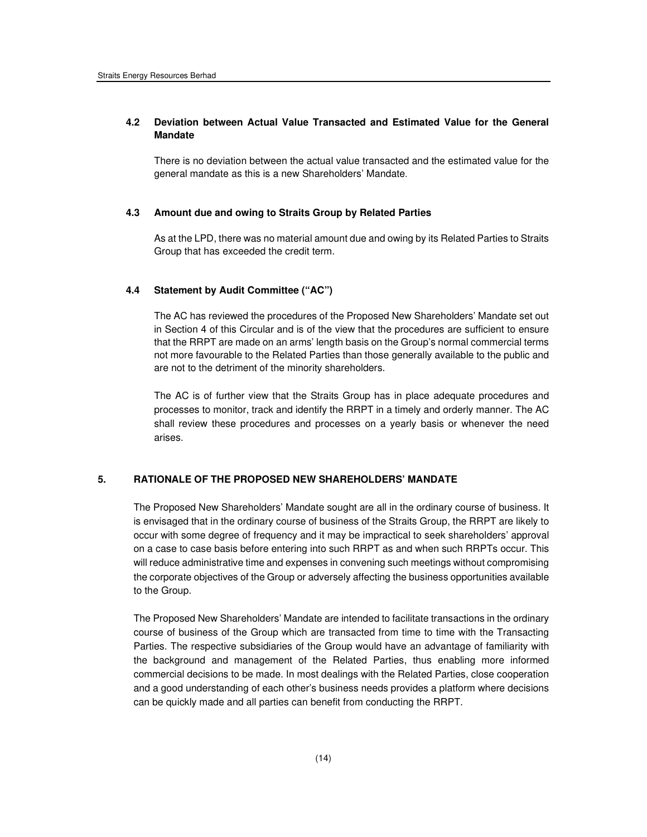## **4.2 Deviation between Actual Value Transacted and Estimated Value for the General Mandate**

There is no deviation between the actual value transacted and the estimated value for the general mandate as this is a new Shareholders' Mandate.

#### **4.3 Amount due and owing to Straits Group by Related Parties**

As at the LPD, there was no material amount due and owing by its Related Parties to Straits Group that has exceeded the credit term.

### **4.4 Statement by Audit Committee ("AC")**

The AC has reviewed the procedures of the Proposed New Shareholders' Mandate set out in Section 4 of this Circular and is of the view that the procedures are sufficient to ensure that the RRPT are made on an arms' length basis on the Group's normal commercial terms not more favourable to the Related Parties than those generally available to the public and are not to the detriment of the minority shareholders.

The AC is of further view that the Straits Group has in place adequate procedures and processes to monitor, track and identify the RRPT in a timely and orderly manner. The AC shall review these procedures and processes on a yearly basis or whenever the need arises.

## **5. RATIONALE OF THE PROPOSED NEW SHAREHOLDERS' MANDATE**

The Proposed New Shareholders' Mandate sought are all in the ordinary course of business. It is envisaged that in the ordinary course of business of the Straits Group, the RRPT are likely to occur with some degree of frequency and it may be impractical to seek shareholders' approval on a case to case basis before entering into such RRPT as and when such RRPTs occur. This will reduce administrative time and expenses in convening such meetings without compromising the corporate objectives of the Group or adversely affecting the business opportunities available to the Group.

The Proposed New Shareholders' Mandate are intended to facilitate transactions in the ordinary course of business of the Group which are transacted from time to time with the Transacting Parties. The respective subsidiaries of the Group would have an advantage of familiarity with the background and management of the Related Parties, thus enabling more informed commercial decisions to be made. In most dealings with the Related Parties, close cooperation and a good understanding of each other's business needs provides a platform where decisions can be quickly made and all parties can benefit from conducting the RRPT.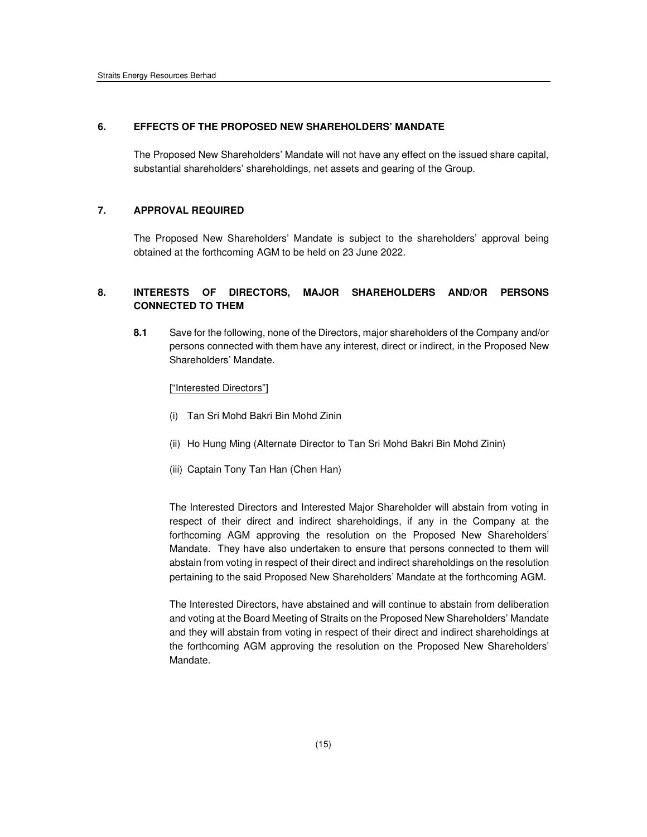#### **6. EFFECTS OF THE PROPOSED NEW SHAREHOLDERS' MANDATE**

The Proposed New Shareholders' Mandate will not have any effect on the issued share capital, substantial shareholders' shareholdings, net assets and gearing of the Group.

## **7. APPROVAL REQUIRED**

The Proposed New Shareholders' Mandate is subject to the shareholders' approval being obtained at the forthcoming AGM to be held on 23 June 2022.

## **8. INTERESTS OF DIRECTORS, MAJOR SHAREHOLDERS AND/OR PERSONS CONNECTED TO THEM**

**8.1** Save for the following, none of the Directors, major shareholders of the Company and/or persons connected with them have any interest, direct or indirect, in the Proposed New Shareholders' Mandate.

#### ["Interested Directors"]

- (i) Tan Sri Mohd Bakri Bin Mohd Zinin
- (ii) Ho Hung Ming (Alternate Director to Tan Sri Mohd Bakri Bin Mohd Zinin)
- (iii) Captain Tony Tan Han (Chen Han)

The Interested Directors and Interested Major Shareholder will abstain from voting in respect of their direct and indirect shareholdings, if any in the Company at the forthcoming AGM approving the resolution on the Proposed New Shareholders' Mandate. They have also undertaken to ensure that persons connected to them will abstain from voting in respect of their direct and indirect shareholdings on the resolution pertaining to the said Proposed New Shareholders' Mandate at the forthcoming AGM.

The Interested Directors, have abstained and will continue to abstain from deliberation and voting at the Board Meeting of Straits on the Proposed New Shareholders' Mandate and they will abstain from voting in respect of their direct and indirect shareholdings at the forthcoming AGM approving the resolution on the Proposed New Shareholders' Mandate.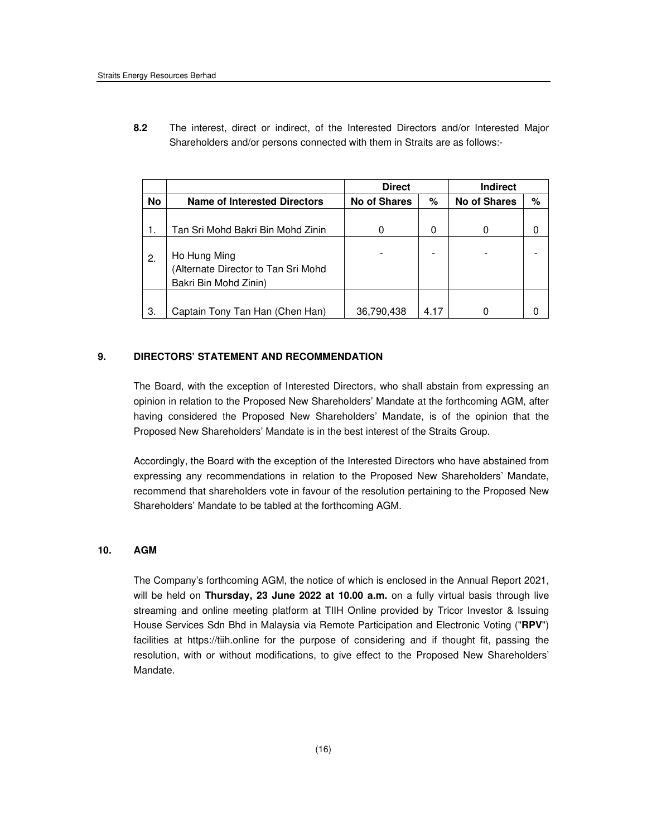**8.2** The interest, direct or indirect, of the Interested Directors and/or Interested Major Shareholders and/or persons connected with them in Straits are as follows:-

|           |                                                                              | <b>Direct</b>       |      | <b>Indirect</b>     |      |
|-----------|------------------------------------------------------------------------------|---------------------|------|---------------------|------|
| <b>No</b> | <b>Name of Interested Directors</b>                                          | <b>No of Shares</b> | %    | <b>No of Shares</b> | $\%$ |
|           |                                                                              |                     |      |                     |      |
|           | Tan Sri Mohd Bakri Bin Mohd Zinin                                            |                     | 0    |                     |      |
| 2.        | Ho Hung Ming<br>(Alternate Director to Tan Sri Mohd<br>Bakri Bin Mohd Zinin) |                     |      |                     |      |
| З.        | Captain Tony Tan Han (Chen Han)                                              | 36,790,438          | 4.17 |                     |      |

## **9. DIRECTORS' STATEMENT AND RECOMMENDATION**

The Board, with the exception of Interested Directors, who shall abstain from expressing an opinion in relation to the Proposed New Shareholders' Mandate at the forthcoming AGM, after having considered the Proposed New Shareholders' Mandate, is of the opinion that the Proposed New Shareholders' Mandate is in the best interest of the Straits Group.

Accordingly, the Board with the exception of the Interested Directors who have abstained from expressing any recommendations in relation to the Proposed New Shareholders' Mandate, recommend that shareholders vote in favour of the resolution pertaining to the Proposed New Shareholders' Mandate to be tabled at the forthcoming AGM.

## **10. AGM**

The Company's forthcoming AGM, the notice of which is enclosed in the Annual Report 2021, will be held on **Thursday, 23 June 2022 at 10.00 a.m.** on a fully virtual basis through live streaming and online meeting platform at TIIH Online provided by Tricor Investor & Issuing House Services Sdn Bhd in Malaysia via Remote Participation and Electronic Voting ("**RPV**") facilities at https://tiih.online for the purpose of considering and if thought fit, passing the resolution, with or without modifications, to give effect to the Proposed New Shareholders' Mandate.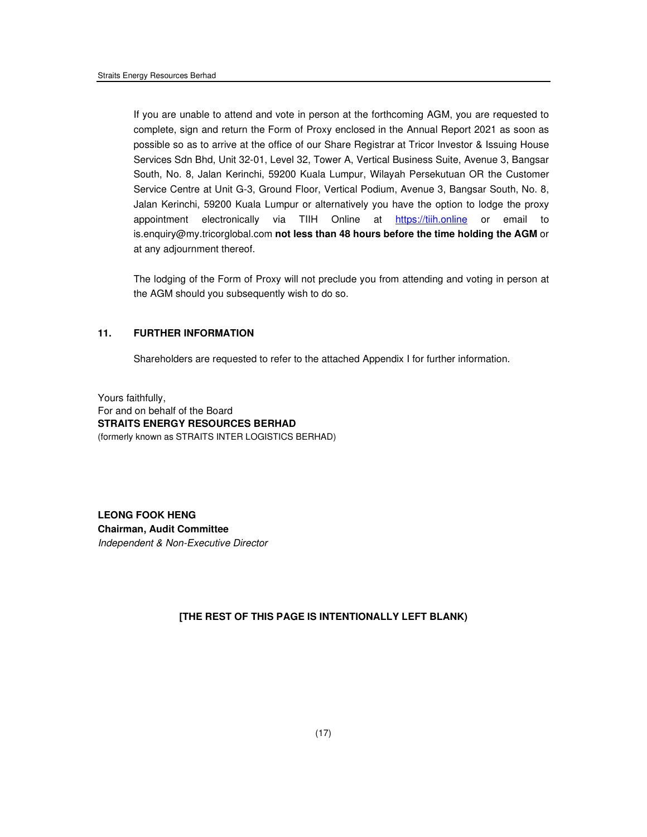If you are unable to attend and vote in person at the forthcoming AGM, you are requested to complete, sign and return the Form of Proxy enclosed in the Annual Report 2021 as soon as possible so as to arrive at the office of our Share Registrar at Tricor Investor & Issuing House Services Sdn Bhd, Unit 32-01, Level 32, Tower A, Vertical Business Suite, Avenue 3, Bangsar South, No. 8, Jalan Kerinchi, 59200 Kuala Lumpur, Wilayah Persekutuan OR the Customer Service Centre at Unit G-3, Ground Floor, Vertical Podium, Avenue 3, Bangsar South, No. 8, Jalan Kerinchi, 59200 Kuala Lumpur or alternatively you have the option to lodge the proxy appointment electronically via TIIH Online at https://tiih.online or email to is.enquiry@my.tricorglobal.com **not less than 48 hours before the time holding the AGM** or at any adjournment thereof.

The lodging of the Form of Proxy will not preclude you from attending and voting in person at the AGM should you subsequently wish to do so.

## **11. FURTHER INFORMATION**

Shareholders are requested to refer to the attached Appendix I for further information.

Yours faithfully, For and on behalf of the Board **STRAITS ENERGY RESOURCES BERHAD**  (formerly known as STRAITS INTER LOGISTICS BERHAD)

**LEONG FOOK HENG Chairman, Audit Committee**  Independent & Non-Executive Director

### **[THE REST OF THIS PAGE IS INTENTIONALLY LEFT BLANK)**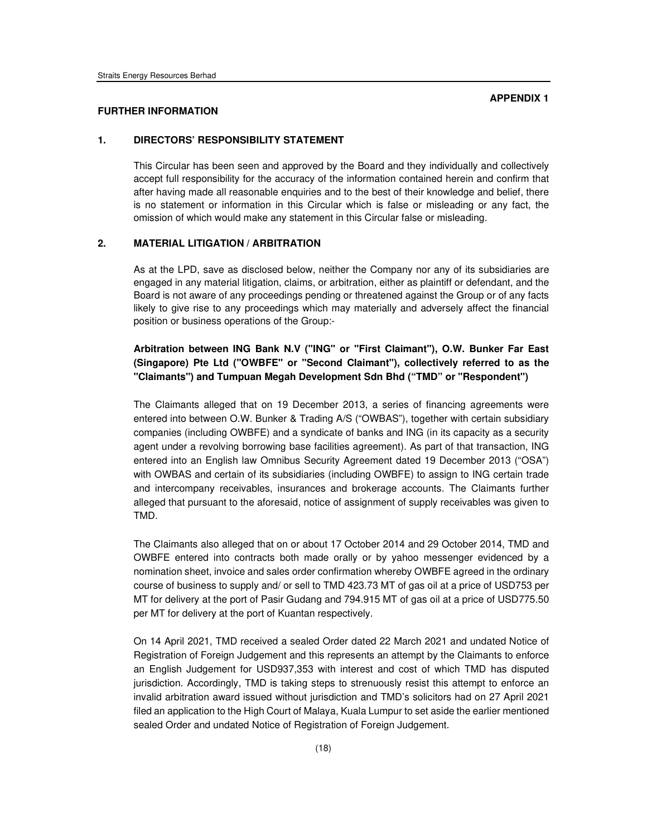#### **FURTHER INFORMATION**

## **1. DIRECTORS' RESPONSIBILITY STATEMENT**

This Circular has been seen and approved by the Board and they individually and collectively accept full responsibility for the accuracy of the information contained herein and confirm that after having made all reasonable enquiries and to the best of their knowledge and belief, there is no statement or information in this Circular which is false or misleading or any fact, the omission of which would make any statement in this Circular false or misleading.

## **2. MATERIAL LITIGATION / ARBITRATION**

As at the LPD, save as disclosed below, neither the Company nor any of its subsidiaries are engaged in any material litigation, claims, or arbitration, either as plaintiff or defendant, and the Board is not aware of any proceedings pending or threatened against the Group or of any facts likely to give rise to any proceedings which may materially and adversely affect the financial position or business operations of the Group:-

## **Arbitration between ING Bank N.V ("ING" or "First Claimant"), O.W. Bunker Far East (Singapore) Pte Ltd ("OWBFE" or "Second Claimant"), collectively referred to as the "Claimants") and Tumpuan Megah Development Sdn Bhd ("TMD" or "Respondent")**

The Claimants alleged that on 19 December 2013, a series of financing agreements were entered into between O.W. Bunker & Trading A/S ("OWBAS"), together with certain subsidiary companies (including OWBFE) and a syndicate of banks and ING (in its capacity as a security agent under a revolving borrowing base facilities agreement). As part of that transaction, ING entered into an English law Omnibus Security Agreement dated 19 December 2013 ("OSA") with OWBAS and certain of its subsidiaries (including OWBFE) to assign to ING certain trade and intercompany receivables, insurances and brokerage accounts. The Claimants further alleged that pursuant to the aforesaid, notice of assignment of supply receivables was given to TMD.

The Claimants also alleged that on or about 17 October 2014 and 29 October 2014, TMD and OWBFE entered into contracts both made orally or by yahoo messenger evidenced by a nomination sheet, invoice and sales order confirmation whereby OWBFE agreed in the ordinary course of business to supply and/ or sell to TMD 423.73 MT of gas oil at a price of USD753 per MT for delivery at the port of Pasir Gudang and 794.915 MT of gas oil at a price of USD775.50 per MT for delivery at the port of Kuantan respectively.

On 14 April 2021, TMD received a sealed Order dated 22 March 2021 and undated Notice of Registration of Foreign Judgement and this represents an attempt by the Claimants to enforce an English Judgement for USD937,353 with interest and cost of which TMD has disputed jurisdiction. Accordingly, TMD is taking steps to strenuously resist this attempt to enforce an invalid arbitration award issued without jurisdiction and TMD's solicitors had on 27 April 2021 filed an application to the High Court of Malaya, Kuala Lumpur to set aside the earlier mentioned sealed Order and undated Notice of Registration of Foreign Judgement.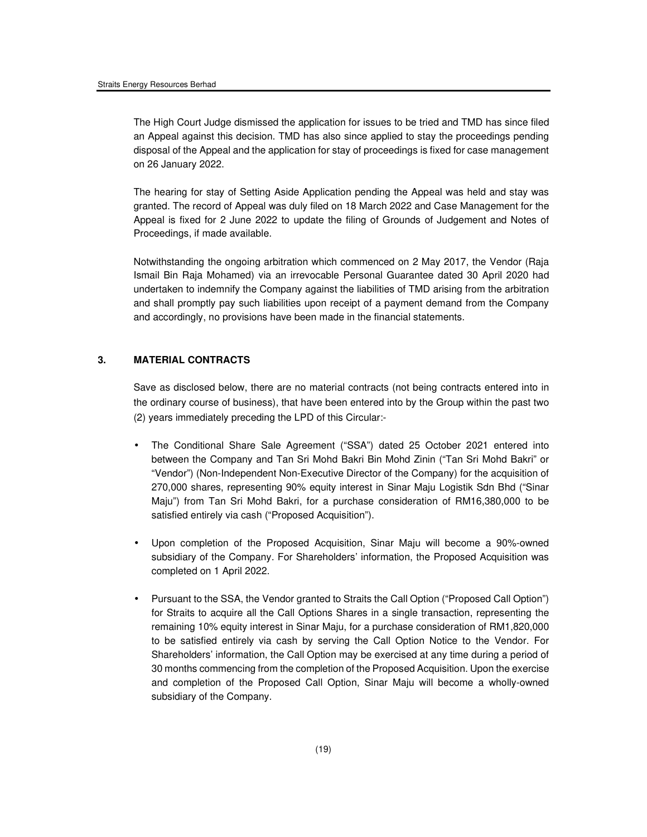The High Court Judge dismissed the application for issues to be tried and TMD has since filed an Appeal against this decision. TMD has also since applied to stay the proceedings pending disposal of the Appeal and the application for stay of proceedings is fixed for case management on 26 January 2022.

The hearing for stay of Setting Aside Application pending the Appeal was held and stay was granted. The record of Appeal was duly filed on 18 March 2022 and Case Management for the Appeal is fixed for 2 June 2022 to update the filing of Grounds of Judgement and Notes of Proceedings, if made available.

Notwithstanding the ongoing arbitration which commenced on 2 May 2017, the Vendor (Raja Ismail Bin Raja Mohamed) via an irrevocable Personal Guarantee dated 30 April 2020 had undertaken to indemnify the Company against the liabilities of TMD arising from the arbitration and shall promptly pay such liabilities upon receipt of a payment demand from the Company and accordingly, no provisions have been made in the financial statements.

## **3. MATERIAL CONTRACTS**

Save as disclosed below, there are no material contracts (not being contracts entered into in the ordinary course of business), that have been entered into by the Group within the past two (2) years immediately preceding the LPD of this Circular:-

- The Conditional Share Sale Agreement ("SSA") dated 25 October 2021 entered into between the Company and Tan Sri Mohd Bakri Bin Mohd Zinin ("Tan Sri Mohd Bakri" or "Vendor") (Non-Independent Non-Executive Director of the Company) for the acquisition of 270,000 shares, representing 90% equity interest in Sinar Maju Logistik Sdn Bhd ("Sinar Maju") from Tan Sri Mohd Bakri, for a purchase consideration of RM16,380,000 to be satisfied entirely via cash ("Proposed Acquisition").
- Upon completion of the Proposed Acquisition, Sinar Maju will become a 90%-owned subsidiary of the Company. For Shareholders' information, the Proposed Acquisition was completed on 1 April 2022.
- Pursuant to the SSA, the Vendor granted to Straits the Call Option ("Proposed Call Option") for Straits to acquire all the Call Options Shares in a single transaction, representing the remaining 10% equity interest in Sinar Maju, for a purchase consideration of RM1,820,000 to be satisfied entirely via cash by serving the Call Option Notice to the Vendor. For Shareholders' information, the Call Option may be exercised at any time during a period of 30 months commencing from the completion of the Proposed Acquisition. Upon the exercise and completion of the Proposed Call Option, Sinar Maju will become a wholly-owned subsidiary of the Company.